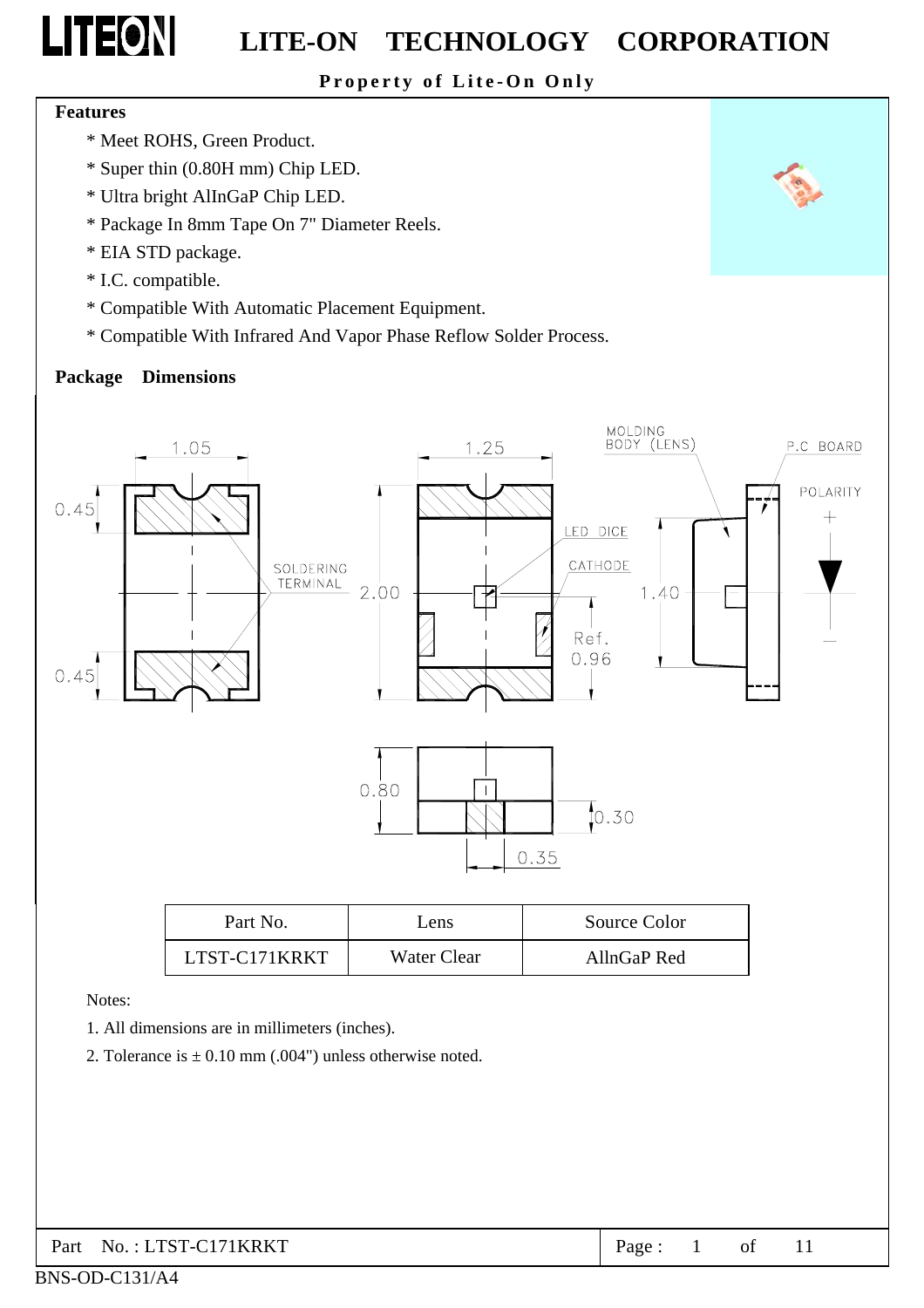### **Property of Lite-On Only**

#### **Features**

**LITEON** 

- \* Meet ROHS, Green Product.
- \* Super thin (0.80H mm) Chip LED.
- \* Ultra bright AlInGaP Chip LED.
- \* Package In 8mm Tape On 7" Diameter Reels.
- \* EIA STD package.
- \* I.C. compatible.
- \* Compatible With Automatic Placement Equipment.
- \* Compatible With Infrared And Vapor Phase Reflow Solder Process.

### **Package Dimensions**



| Part No.      | Lens        | Source Color |
|---------------|-------------|--------------|
| LTST-C171KRKT | Water Clear | AllnGaP Red  |

Notes:

BNS-OD-C131/A4

- 1. All dimensions are in millimeters (inches).
- 2. Tolerance is  $\pm$  0.10 mm (.004") unless otherwise noted.

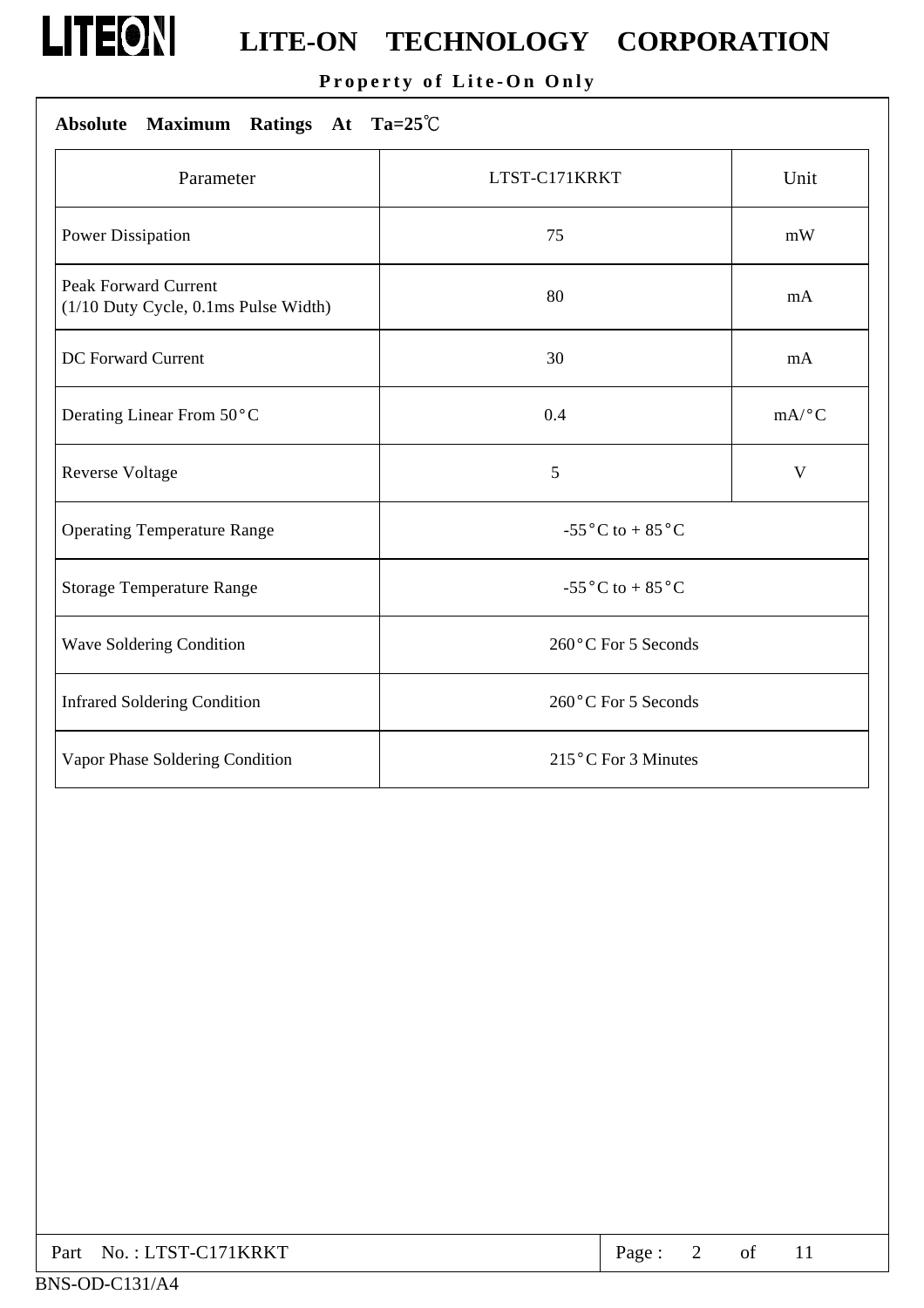

### **Property of Lite-On Only**

### **Absolute Maximum Ratings At Ta=25**℃

| Parameter                                                           | LTST-C171KRKT                                 | Unit                |  |
|---------------------------------------------------------------------|-----------------------------------------------|---------------------|--|
| <b>Power Dissipation</b>                                            | 75                                            | mW                  |  |
| <b>Peak Forward Current</b><br>(1/10 Duty Cycle, 0.1ms Pulse Width) | 80                                            | mA                  |  |
| DC Forward Current                                                  | 30                                            | mA                  |  |
| Derating Linear From 50°C                                           | 0.4                                           | $mA$ <sup>o</sup> C |  |
| Reverse Voltage                                                     | 5                                             | V                   |  |
| <b>Operating Temperature Range</b>                                  | -55 $\rm{^{\circ}C}$ to + 85 $\rm{^{\circ}C}$ |                     |  |
| <b>Storage Temperature Range</b>                                    | -55 $\rm{^{\circ}C}$ to + 85 $\rm{^{\circ}C}$ |                     |  |
| Wave Soldering Condition                                            | 260°C For 5 Seconds                           |                     |  |
| <b>Infrared Soldering Condition</b>                                 | 260°C For 5 Seconds                           |                     |  |
| Vapor Phase Soldering Condition                                     | 215°C For 3 Minutes                           |                     |  |

| Part No.: LTST-C171KRKT | Page: |  |  |  |  |
|-------------------------|-------|--|--|--|--|
|-------------------------|-------|--|--|--|--|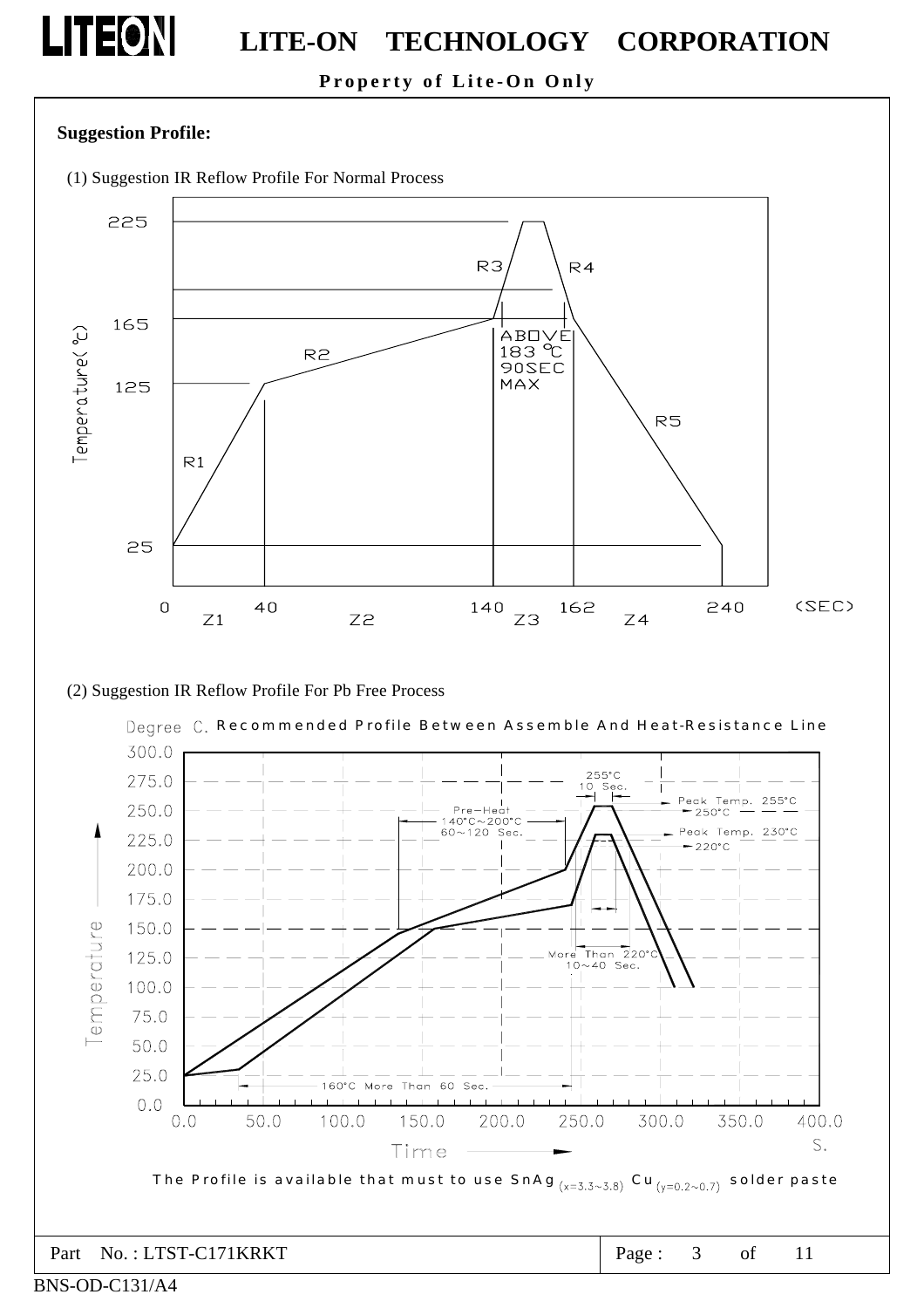### **Property of Lite-On Only**

### **Suggestion Profile:**

**LITEON** 

(1) Suggestion IR Reflow Profile For Normal Process



(2) Suggestion IR Reflow Profile For Pb Free Process

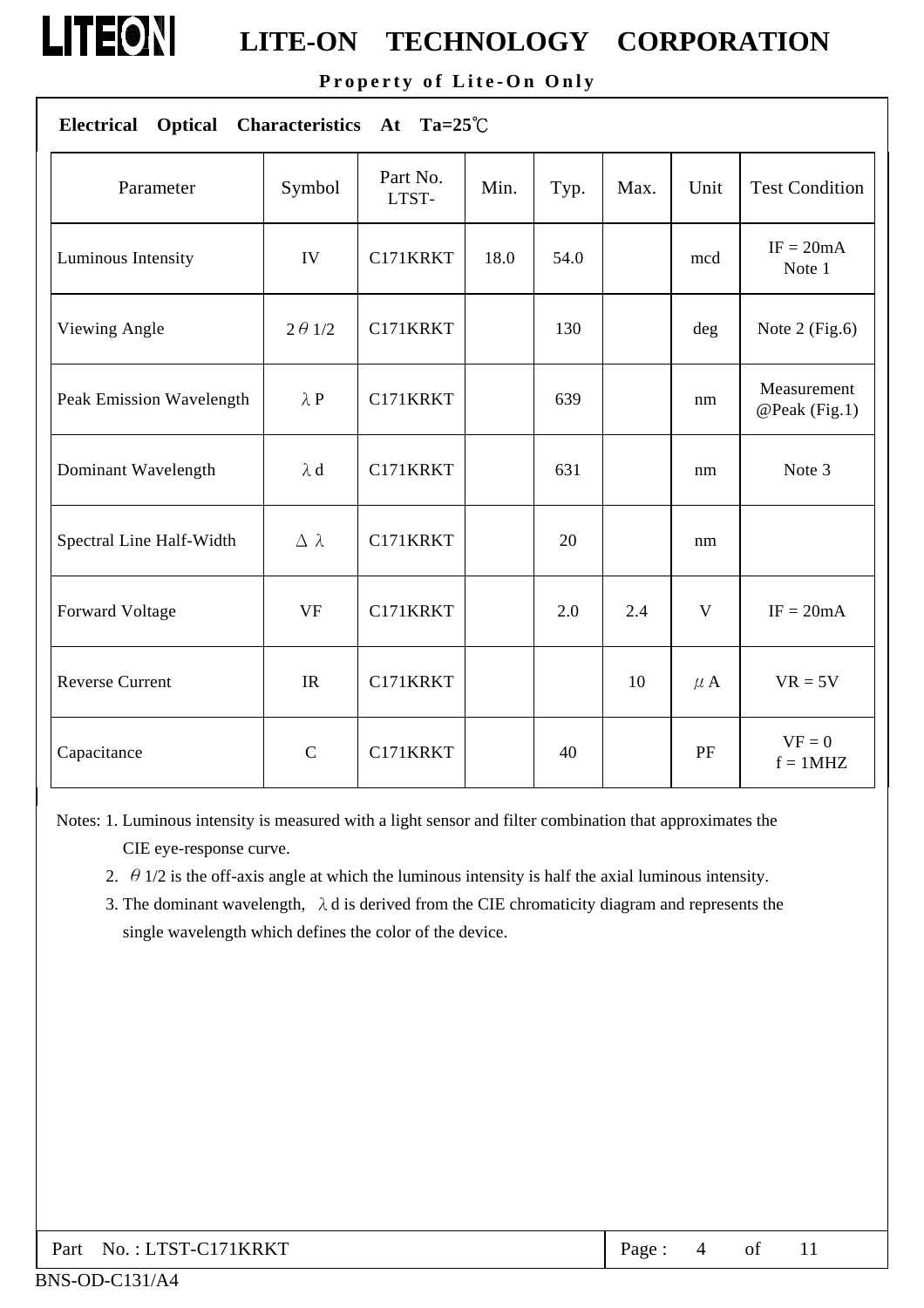

**Property of Lite-On Only** 

| $Ta=25^{\circ}C$<br><b>Electrical</b><br><b>Optical</b><br><b>Characteristics</b><br>At |                  |                   |      |      |      |          |                              |
|-----------------------------------------------------------------------------------------|------------------|-------------------|------|------|------|----------|------------------------------|
| Parameter                                                                               | Symbol           | Part No.<br>LTST- | Min. | Typ. | Max. | Unit     | <b>Test Condition</b>        |
| Luminous Intensity                                                                      | IV               | C171KRKT          | 18.0 | 54.0 |      | mcd      | $IF = 20mA$<br>Note 1        |
| Viewing Angle                                                                           | $2 \theta$ 1/2   | C171KRKT          |      | 130  |      | deg      | Note $2$ (Fig.6)             |
| Peak Emission Wavelength                                                                | $\lambda P$      | C171KRKT          |      | 639  |      | nm       | Measurement<br>@Peak (Fig.1) |
| Dominant Wavelength                                                                     | $\lambda$ d      | C171KRKT          |      | 631  |      | nm       | Note 3                       |
| Spectral Line Half-Width                                                                | $\Delta \lambda$ | C171KRKT          |      | 20   |      | nm       |                              |
| Forward Voltage                                                                         | <b>VF</b>        | C171KRKT          |      | 2.0  | 2.4  | V        | $IF = 20mA$                  |
| <b>Reverse Current</b>                                                                  | IR               | C171KRKT          |      |      | 10   | $\mu$ A  | $VR = 5V$                    |
| Capacitance                                                                             | $\mathbf C$      | C171KRKT          |      | 40   |      | $\rm PF$ | $VF = 0$<br>$f = 1MHz$       |

Notes: 1. Luminous intensity is measured with a light sensor and filter combination that approximates the CIE eye-response curve.

- 2.  $\theta$  1/2 is the off-axis angle at which the luminous intensity is half the axial luminous intensity.
- 3. The dominant wavelength,  $\lambda$  d is derived from the CIE chromaticity diagram and represents the single wavelength which defines the color of the device.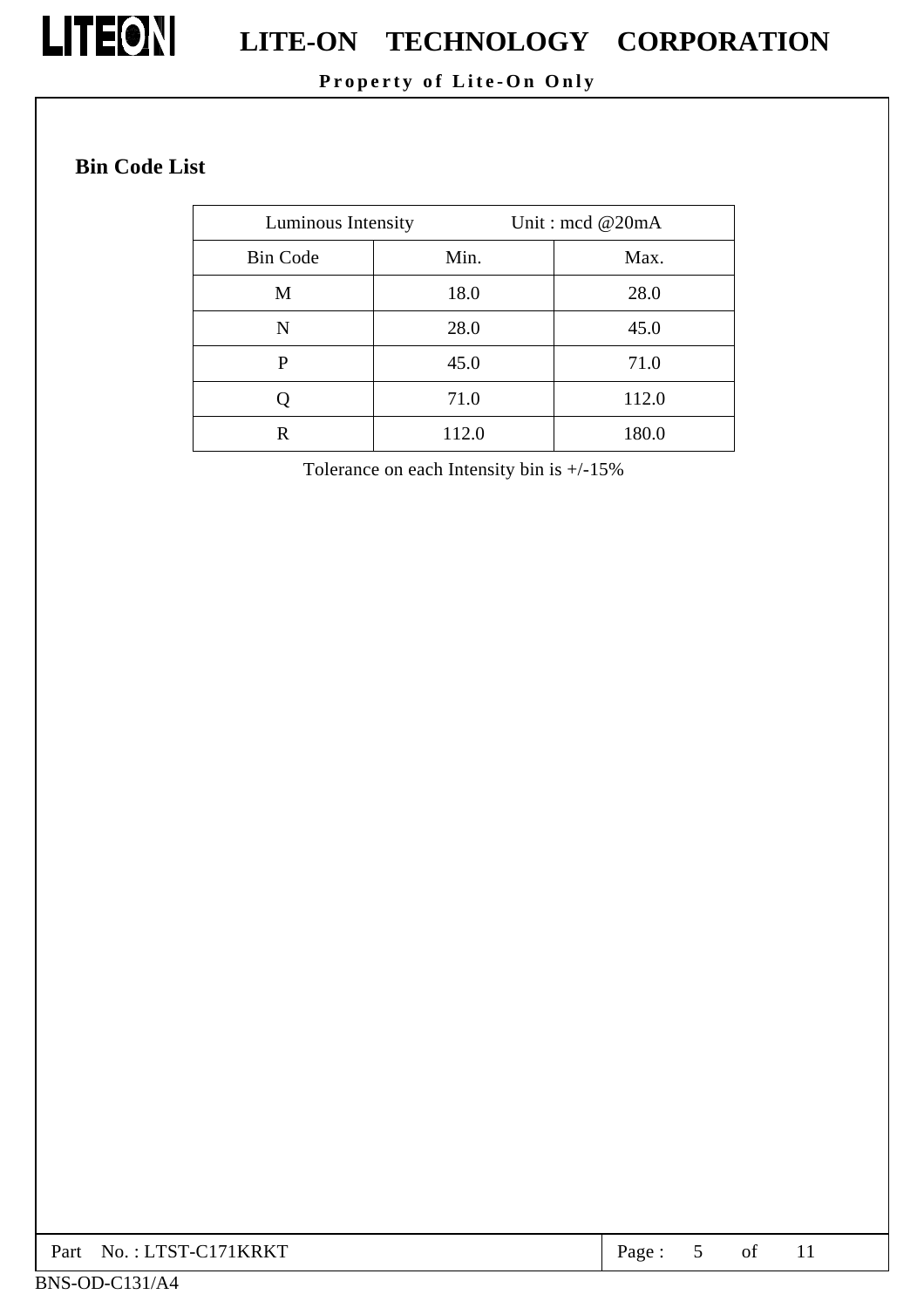

# **LITEON** LITE-ON TECHNOLOGY CORPORATION

### **Property of Lite-On Only**

### **Bin Code List**

| Luminous Intensity |       | Unit: $\text{mod} \ @$ 20mA |
|--------------------|-------|-----------------------------|
| <b>Bin Code</b>    | Min.  | Max.                        |
| M                  | 18.0  | 28.0                        |
| N                  | 28.0  | 45.0                        |
| P                  | 45.0  | 71.0                        |
|                    | 71.0  | 112.0                       |
| R                  | 112.0 | 180.0                       |

Tolerance on each Intensity bin is +/-15%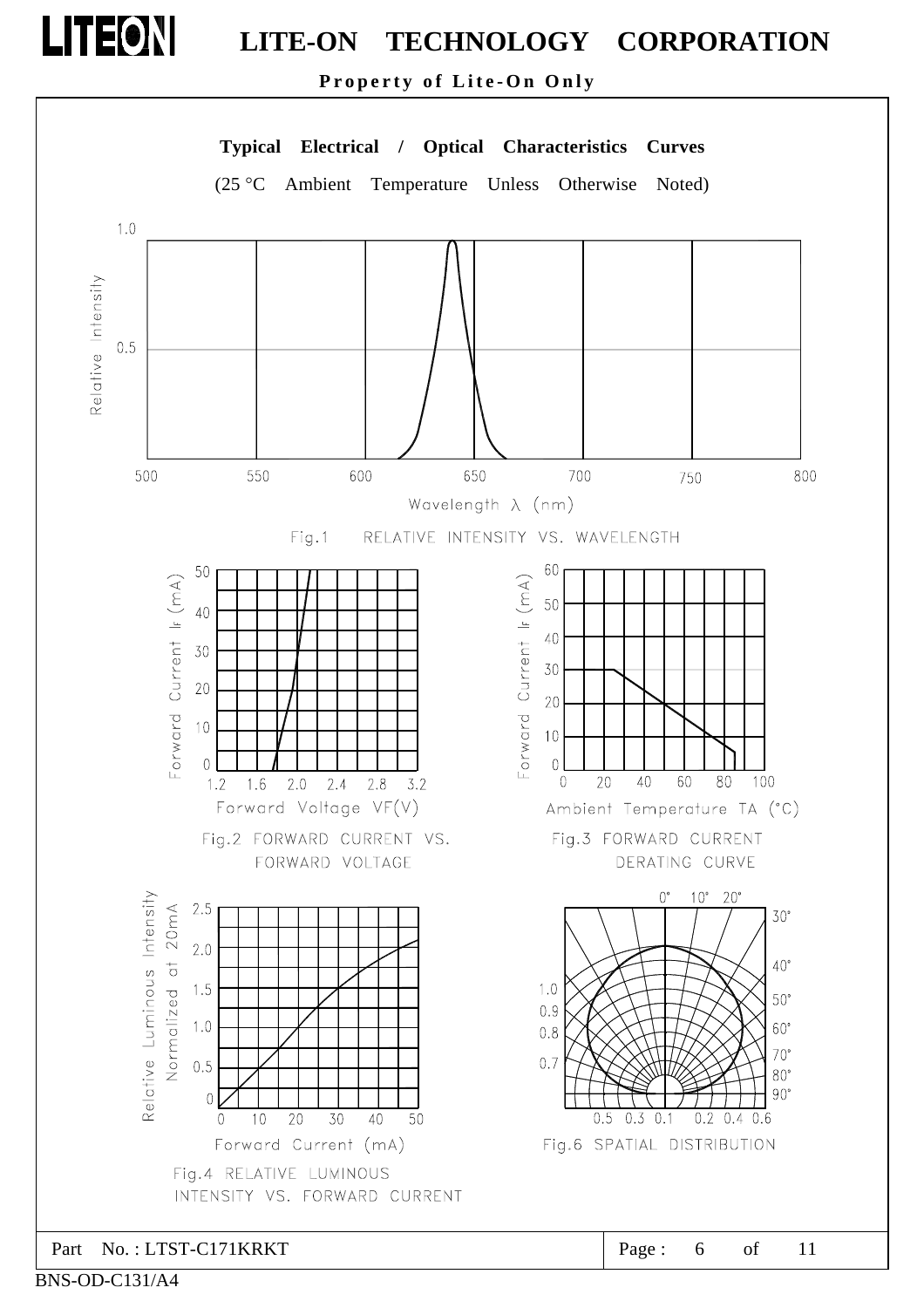**Property of Lite-On Only** 



BNS-OD-C131/A4

**LITEON**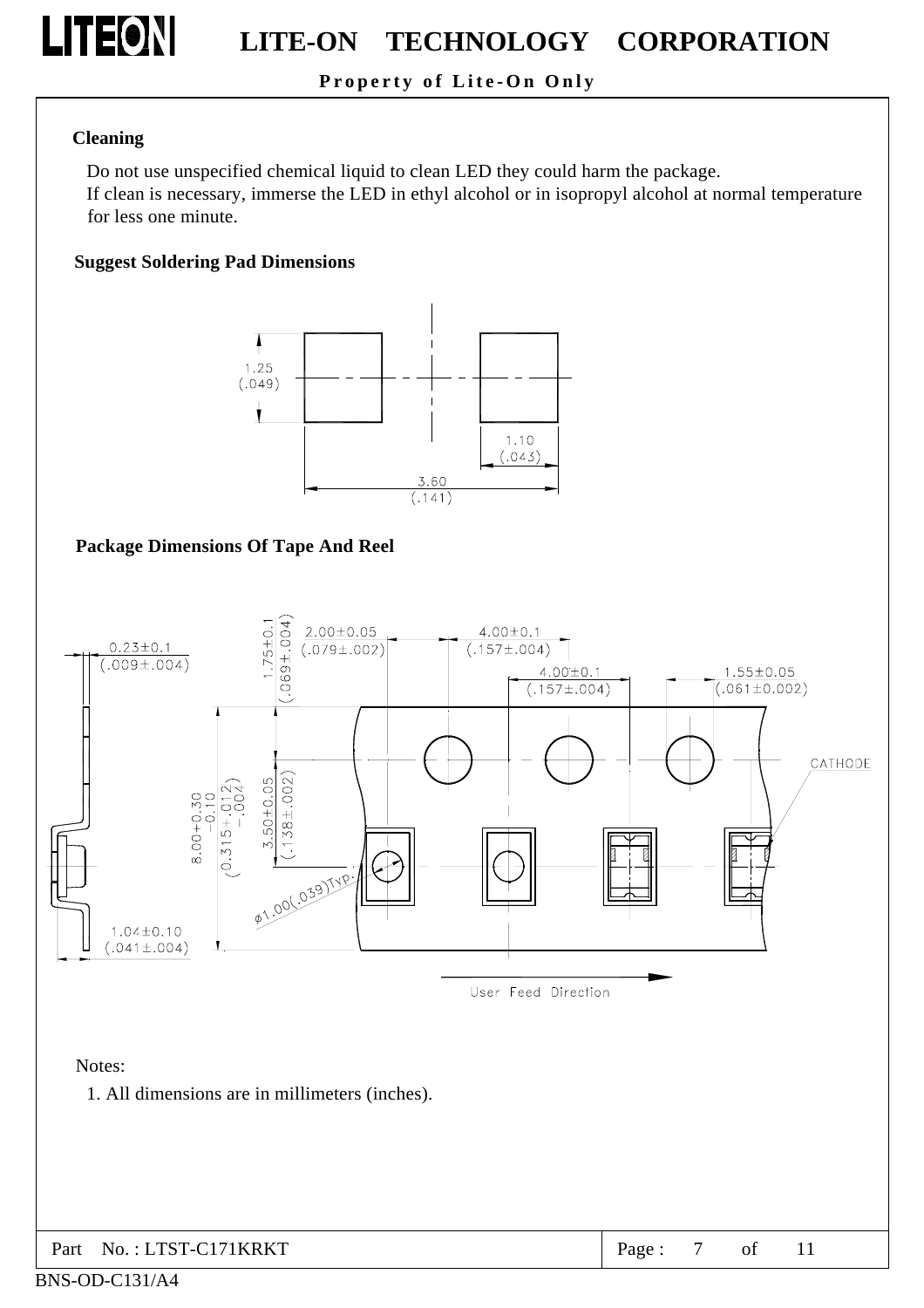

### **Property of Lite-On Only**

#### **Cleaning**

Do not use unspecified chemical liquid to clean LED they could harm the package. If clean is necessary, immerse the LED in ethyl alcohol or in isopropyl alcohol at normal temperature for less one minute.

#### **Suggest Soldering Pad Dimensions**



#### **Package Dimensions Of Tape And Reel**



Notes:

1. All dimensions are in millimeters (inches).

| $\vert$ Part No.: LTST-C171KRKT | Page: $7 \text{ of } 11$ |  |  |  |  |
|---------------------------------|--------------------------|--|--|--|--|
|---------------------------------|--------------------------|--|--|--|--|

#### BNS-OD-C131/A4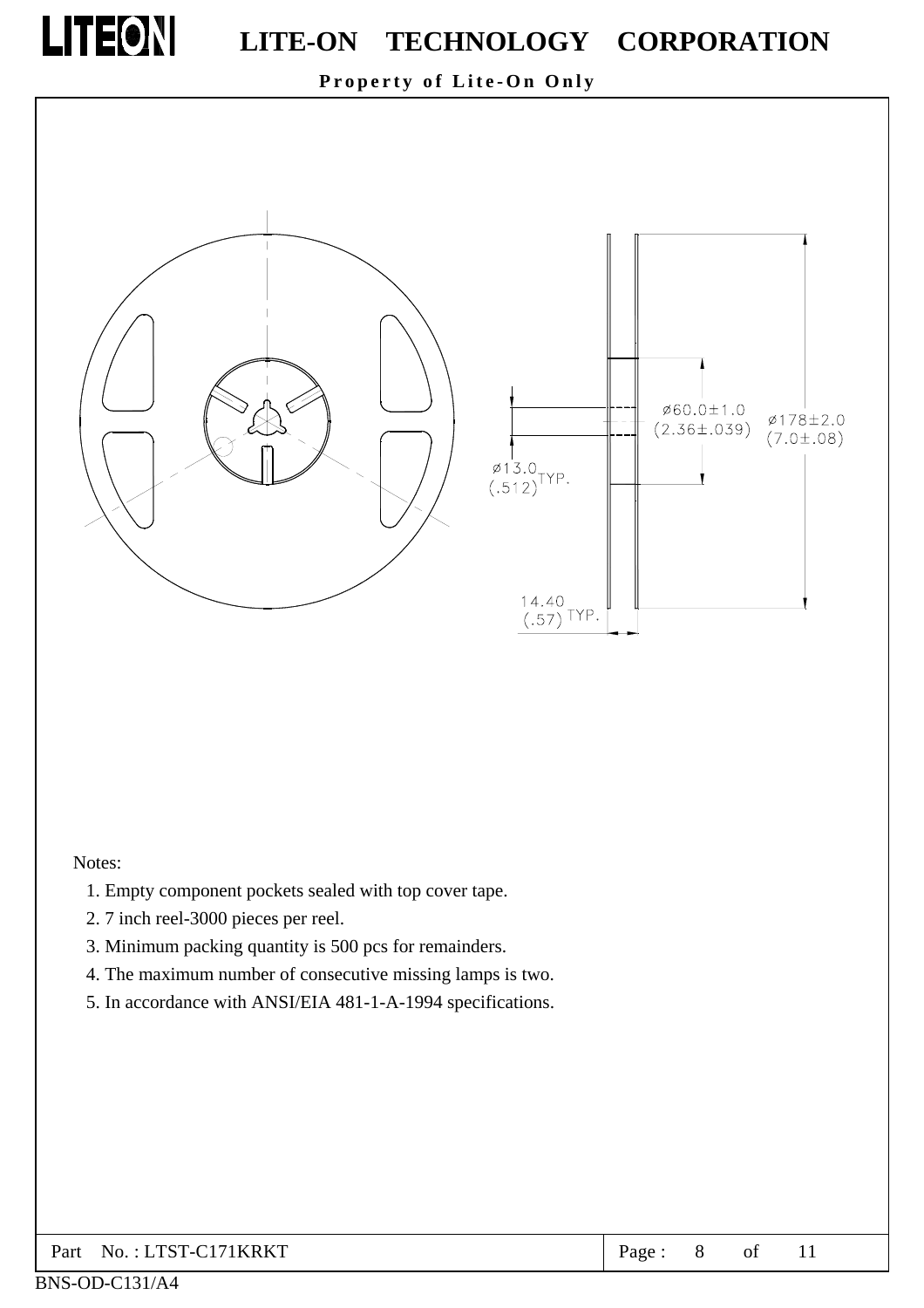

### **Property of Lite-On Only**



#### Notes:

- 1. Empty component pockets sealed with top cover tape.
- 2. 7 inch reel-3000 pieces per reel.
- 3. Minimum packing quantity is 500 pcs for remainders.
- 4. The maximum number of consecutive missing lamps is two.
- 5. In accordance with ANSI/EIA 481-1-A-1994 specifications.

| $\vert$ Part No.: LTST-C171KRKT | Page: |  |  |  |  |
|---------------------------------|-------|--|--|--|--|
|---------------------------------|-------|--|--|--|--|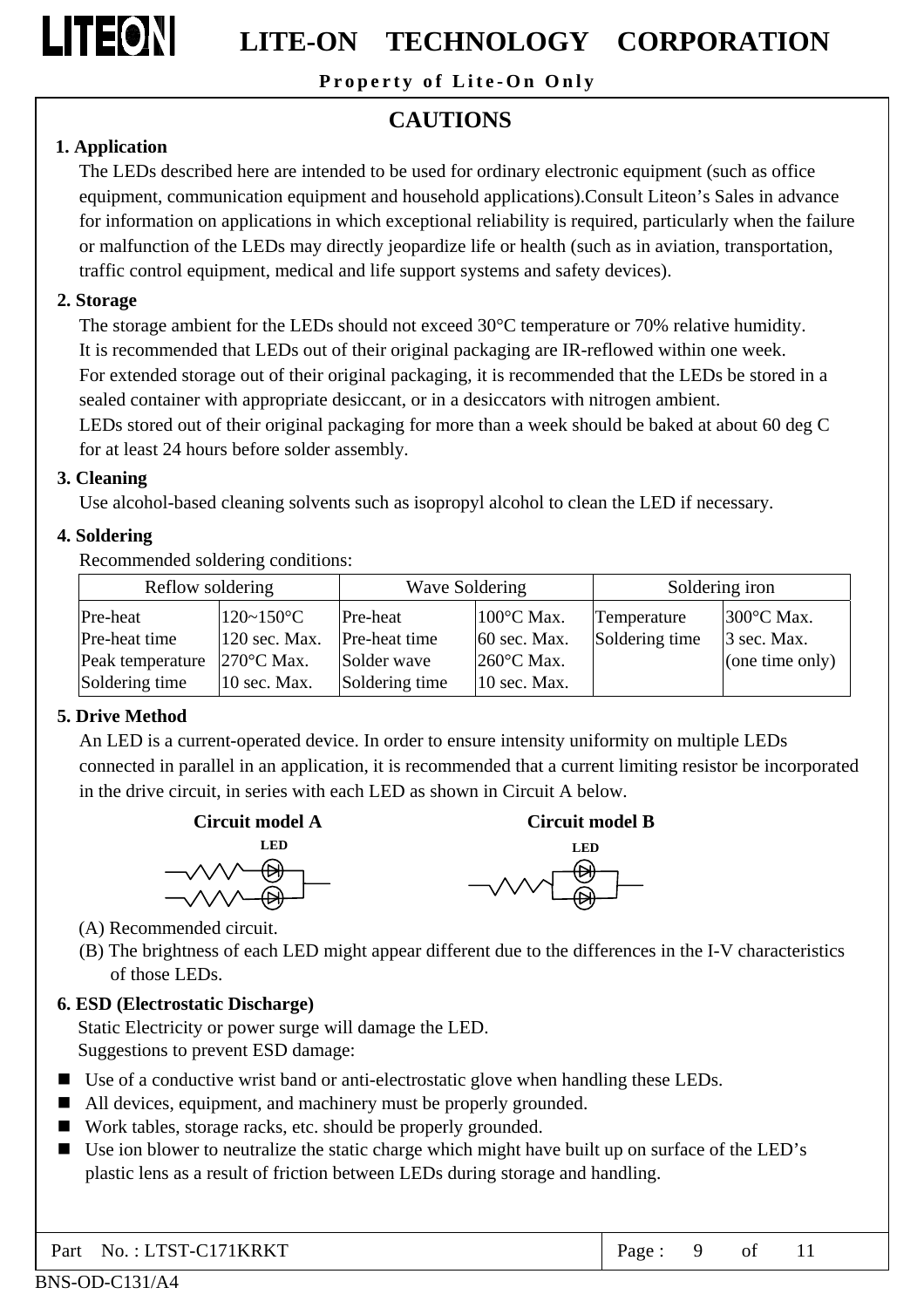

**Property of Lite-On Only** 

### **CAUTIONS**

### **1. Application**

The LEDs described here are intended to be used for ordinary electronic equipment (such as office equipment, communication equipment and household applications).Consult Liteon's Sales in advance for information on applications in which exceptional reliability is required, particularly when the failure or malfunction of the LEDs may directly jeopardize life or health (such as in aviation, transportation, traffic control equipment, medical and life support systems and safety devices).

### **2. Storage**

The storage ambient for the LEDs should not exceed 30°C temperature or 70% relative humidity. It is recommended that LEDs out of their original packaging are IR-reflowed within one week. For extended storage out of their original packaging, it is recommended that the LEDs be stored in a sealed container with appropriate desiccant, or in a desiccators with nitrogen ambient. LEDs stored out of their original packaging for more than a week should be baked at about 60 deg C for at least 24 hours before solder assembly.

### **3. Cleaning**

Use alcohol-based cleaning solvents such as isopropyl alcohol to clean the LED if necessary.

### **4. Soldering**

Recommended soldering conditions:

| Reflow soldering |                      | Wave Soldering |                      |                | Soldering iron       |
|------------------|----------------------|----------------|----------------------|----------------|----------------------|
| Pre-heat         | $120 \sim 150$ °C    | Pre-heat       | $100^{\circ}$ C Max. | Temperature    | $300^{\circ}$ C Max. |
| Pre-heat time    | $120$ sec. Max.      | Pre-heat time  | 60 sec. Max.         | Soldering time | $3$ sec. Max.        |
| Peak temperature | $270^{\circ}$ C Max. | Solder wave    | $260^{\circ}$ C Max. |                | (one time only)      |
| Soldering time   | 10 sec. Max.         | Soldering time | $10$ sec. Max.       |                |                      |

### **5. Drive Method**

An LED is a current-operated device. In order to ensure intensity uniformity on multiple LEDs connected in parallel in an application, it is recommended that a current limiting resistor be incorporated in the drive circuit, in series with each LED as shown in Circuit A below.





- (A) Recommended circuit.
- (B) The brightness of each LED might appear different due to the differences in the I-V characteristics of those LEDs.

### **6. ESD (Electrostatic Discharge)**

Static Electricity or power surge will damage the LED. Suggestions to prevent ESD damage:

- Use of a conductive wrist band or anti-electrostatic glove when handling these LEDs.
- All devices, equipment, and machinery must be properly grounded.
- Work tables, storage racks, etc. should be properly grounded.
- Use ion blower to neutralize the static charge which might have built up on surface of the LED's plastic lens as a result of friction between LEDs during storage and handling.

Part No.: LTST-C171KRKT Page: 9 of 11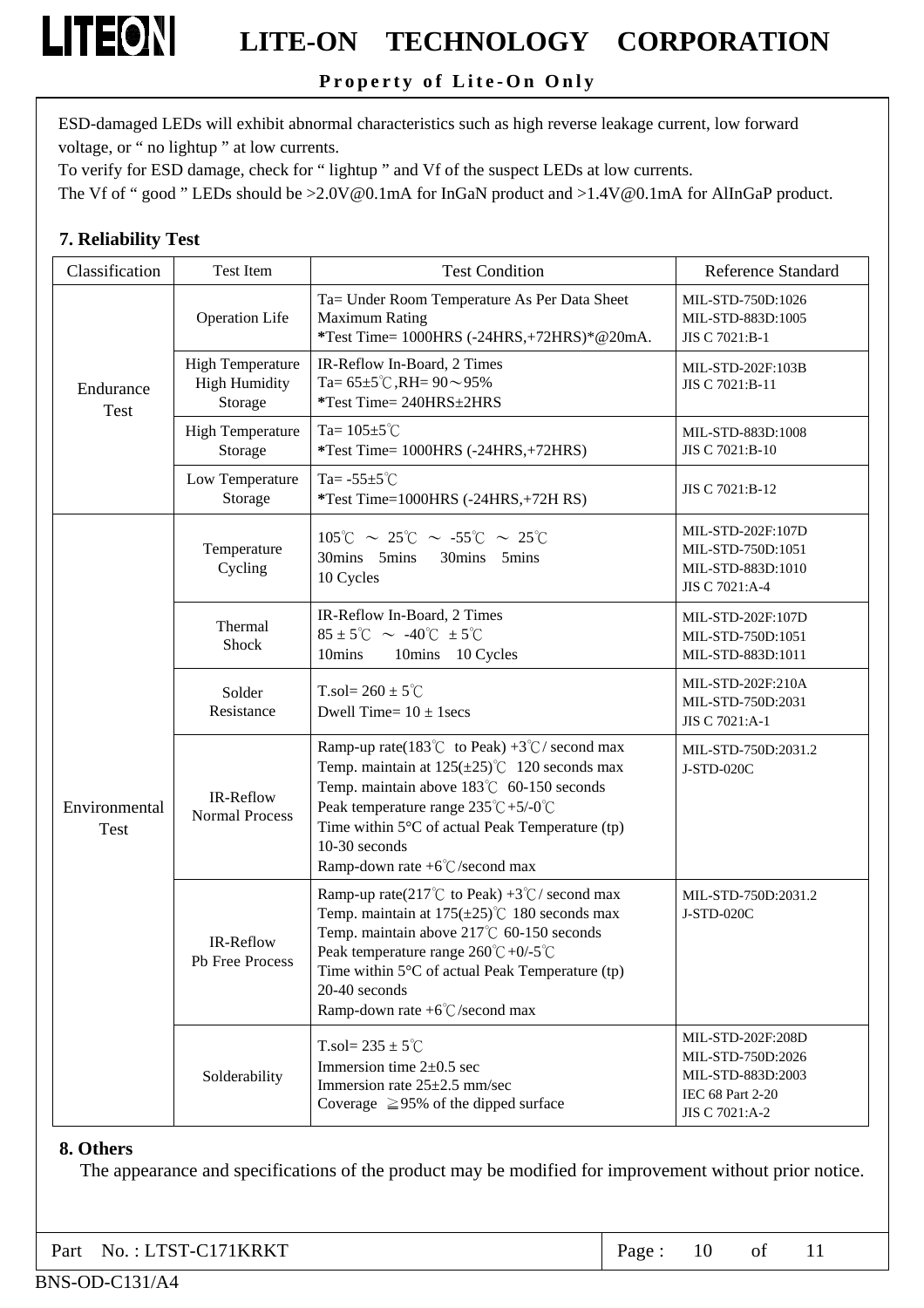### **Property of Lite-On Only**

ESD-damaged LEDs will exhibit abnormal characteristics such as high reverse leakage current, low forward voltage, or " no lightup " at low currents.

To verify for ESD damage, check for " lightup " and Vf of the suspect LEDs at low currents.

The Vf of " good " LEDs should be >2.0V@0.1mA for InGaN product and >1.4V@0.1mA for AlInGaP product.

### **7. Reliability Test**

**LITEON** 

| Classification               | Test Item                                                  | <b>Test Condition</b>                                                                                                                                                                                                                                                                                                                           | <b>Reference Standard</b>                                                                         |
|------------------------------|------------------------------------------------------------|-------------------------------------------------------------------------------------------------------------------------------------------------------------------------------------------------------------------------------------------------------------------------------------------------------------------------------------------------|---------------------------------------------------------------------------------------------------|
|                              | <b>Operation Life</b>                                      | Ta= Under Room Temperature As Per Data Sheet<br><b>Maximum Rating</b><br>*Test Time= 1000HRS (-24HRS,+72HRS)*@20mA.                                                                                                                                                                                                                             | MIL-STD-750D:1026<br>MIL-STD-883D:1005<br>JIS C 7021:B-1                                          |
| Endurance<br>Test            | <b>High Temperature</b><br><b>High Humidity</b><br>Storage | IR-Reflow In-Board, 2 Times<br>Ta= $65\pm5^{\circ}$ C, RH= $90\sim95\%$<br>*Test Time= 240HRS±2HRS                                                                                                                                                                                                                                              | MIL-STD-202F:103B<br>JIS C 7021:B-11                                                              |
|                              | <b>High Temperature</b><br>Storage                         | Ta= $105 \pm 5^{\circ}$ C<br>*Test Time= 1000HRS (-24HRS,+72HRS)                                                                                                                                                                                                                                                                                | MIL-STD-883D:1008<br>JIS C 7021:B-10                                                              |
|                              | Low Temperature<br>Storage                                 | Ta= $-55\pm5^{\circ}$ C<br>*Test Time=1000HRS (-24HRS,+72H RS)                                                                                                                                                                                                                                                                                  | JIS C 7021:B-12                                                                                   |
|                              | Temperature<br>Cycling                                     | $105^{\circ}$ C ~ 25°C ~ -55°C ~ 25°C<br>30mins 5mins<br>30mins 5mins<br>10 Cycles                                                                                                                                                                                                                                                              | MIL-STD-202F:107D<br>MIL-STD-750D:1051<br>MIL-STD-883D:1010<br>JIS C 7021:A-4                     |
| Environmental<br><b>Test</b> | Thermal<br>Shock                                           | IR-Reflow In-Board, 2 Times<br>$85 \pm 5^{\circ}$ C ~ -40 $^{\circ}$ C $\pm 5^{\circ}$ C<br>10mins<br>10mins 10 Cycles                                                                                                                                                                                                                          | MIL-STD-202F:107D<br>MIL-STD-750D:1051<br>MIL-STD-883D:1011                                       |
|                              | Solder<br>Resistance                                       | T.sol= $260 \pm 5^{\circ}$ C<br>Dwell Time= $10 \pm 1$ secs                                                                                                                                                                                                                                                                                     | MIL-STD-202F:210A<br>MIL-STD-750D:2031<br>JIS C 7021:A-1                                          |
|                              | IR-Reflow<br><b>Normal Process</b>                         | Ramp-up rate(183°C to Peak) +3°C/ second max<br>Temp. maintain at $125(\pm 25)$ °C 120 seconds max<br>Temp. maintain above 183℃ 60-150 seconds<br>Peak temperature range $235^{\circ}\text{C} + 5/-0^{\circ}\text{C}$<br>Time within $5^{\circ}$ C of actual Peak Temperature (tp)<br>10-30 seconds<br>Ramp-down rate $+6^{\circ}$ C/second max | MIL-STD-750D:2031.2<br>J-STD-020C                                                                 |
|                              | IR-Reflow<br>Pb Free Process                               | Ramp-up rate(217°C to Peak) +3°C/ second max<br>Temp. maintain at $175(\pm 25)$ °C 180 seconds max<br>Temp. maintain above $217^{\circ}$ C 60-150 seconds<br>Peak temperature range $260^{\circ}C + 0/5^{\circ}C$<br>Time within $5^{\circ}$ C of actual Peak Temperature (tp)<br>20-40 seconds<br>Ramp-down rate $+6^{\circ}$ C/second max     | MIL-STD-750D:2031.2<br>J-STD-020C                                                                 |
|                              | Solderability                                              | T.sol= $235 \pm 5^{\circ}$ C<br>Immersion time $2\pm0.5$ sec<br>Immersion rate $25\pm2.5$ mm/sec<br>Coverage $\geq$ 95% of the dipped surface                                                                                                                                                                                                   | MIL-STD-202F:208D<br>MIL-STD-750D:2026<br>MIL-STD-883D:2003<br>IEC 68 Part 2-20<br>JIS C 7021:A-2 |

#### **8. Others**

The appearance and specifications of the product may be modified for improvement without prior notice.

| $\vert$ Part No.: LTST-C171KRKT | Page: $10$ of |  |  |  |  |
|---------------------------------|---------------|--|--|--|--|
|---------------------------------|---------------|--|--|--|--|